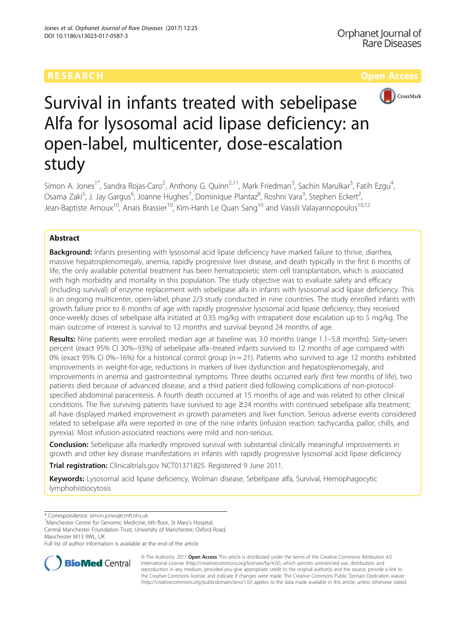

# Survival in infants treated with sebelipase Alfa for lysosomal acid lipase deficiency: an open-label, multicenter, dose-escalation study

Simon A. Jones<sup>1\*</sup>, Sandra Rojas-Caro<sup>2</sup>, Anthony G. Quinn<sup>2,11</sup>, Mark Friedman<sup>3</sup>, Sachin Marulkar<sup>3</sup>, Fatih Ezgu<sup>4</sup> , Osama Zaki<sup>5</sup>, J. Jay Gargus<sup>6</sup>, Joanne Hughes<sup>7</sup>, Dominique Plantaz<sup>8</sup>, Roshni Vara<sup>9</sup>, Stephen Eckert<sup>2</sup> , Jean-Baptiste Arnoux<sup>10</sup>, Anais Brassier<sup>10</sup>, Kim-Hanh Le Quan Sang<sup>10</sup> and Vassili Valayannopoulos<sup>10,12</sup>

# Abstract

**Background:** Infants presenting with lysosomal acid lipase deficiency have marked failure to thrive, diarrhea, massive hepatosplenomegaly, anemia, rapidly progressive liver disease, and death typically in the first 6 months of life; the only available potential treatment has been hematopoietic stem cell transplantation, which is associated with high morbidity and mortality in this population. The study objective was to evaluate safety and efficacy (including survival) of enzyme replacement with sebelipase alfa in infants with lysosomal acid lipase deficiency. This is an ongoing multicenter, open-label, phase 2/3 study conducted in nine countries. The study enrolled infants with growth failure prior to 6 months of age with rapidly progressive lysosomal acid lipase deficiency; they received once-weekly doses of sebelipase alfa initiated at 0.35 mg/kg with intrapatient dose escalation up to 5 mg/kg. The main outcome of interest is survival to 12 months and survival beyond 24 months of age.

Results: Nine patients were enrolled; median age at baseline was 3.0 months (range 1.1–5.8 months). Sixty-seven percent (exact 95% CI 30%–93%) of sebelipase alfa–treated infants survived to 12 months of age compared with 0% (exact 95% CI 0%–16%) for a historical control group ( $n = 21$ ). Patients who survived to age 12 months exhibited improvements in weight-for-age, reductions in markers of liver dysfunction and hepatosplenomegaly, and improvements in anemia and gastrointestinal symptoms. Three deaths occurred early (first few months of life), two patients died because of advanced disease, and a third patient died following complications of non-protocolspecified abdominal paracentesis. A fourth death occurred at 15 months of age and was related to other clinical conditions. The five surviving patients have survived to age ≥24 months with continued sebelipase alfa treatment; all have displayed marked improvement in growth parameters and liver function. Serious adverse events considered related to sebelipase alfa were reported in one of the nine infants (infusion reaction: tachycardia, pallor, chills, and pyrexia). Most infusion-associated reactions were mild and non-serious.

**Conclusion:** Sebelipase alfa markedly improved survival with substantial clinically meaningful improvements in growth and other key disease manifestations in infants with rapidly progressive lysosomal acid lipase deficiency

**Trial registration:** Clinicaltrials.gov [NCT01371825.](https://www.clinicaltrials.gov/ct2/show/NCT01371825) Registered 9 June 2011.

Keywords: Lysosomal acid lipase deficiency, Wolman disease, Sebelipase alfa, Survival, Hemophagocytic lymphohistiocytosis

\* Correspondence: [simon.jones@cmft.nhs.uk](mailto:simon.jones@cmft.nhs.uk) <sup>1</sup>

<sup>1</sup> Manchester Centre for Genomic Medicine, 6th floor, St Mary's Hospital

Central Manchester Foundation Trust, University of Manchester, Oxford Road, Manchester M13 9WL, UK

Full list of author information is available at the end of the article



© The Author(s). 2017 **Open Access** This article is distributed under the terms of the Creative Commons Attribution 4.0 International License [\(http://creativecommons.org/licenses/by/4.0/](http://creativecommons.org/licenses/by/4.0/)), which permits unrestricted use, distribution, and reproduction in any medium, provided you give appropriate credit to the original author(s) and the source, provide a link to the Creative Commons license, and indicate if changes were made. The Creative Commons Public Domain Dedication waiver [\(http://creativecommons.org/publicdomain/zero/1.0/](http://creativecommons.org/publicdomain/zero/1.0/)) applies to the data made available in this article, unless otherwise stated.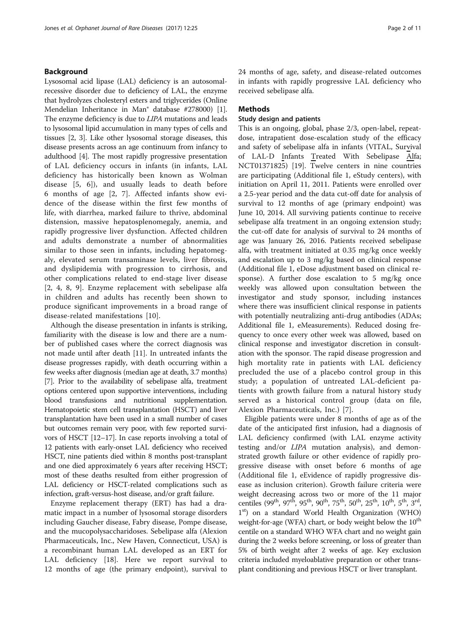# Background

Lysosomal acid lipase (LAL) deficiency is an autosomalrecessive disorder due to deficiency of LAL, the enzyme that hydrolyzes cholesteryl esters and triglycerides (Online Mendelian Inheritance in Man® database #278000) [[1](#page-9-0)]. The enzyme deficiency is due to LIPA mutations and leads to lysosomal lipid accumulation in many types of cells and tissues [\[2,](#page-9-0) [3](#page-10-0)]. Like other lysosomal storage diseases, this disease presents across an age continuum from infancy to adulthood [\[4](#page-10-0)]. The most rapidly progressive presentation of LAL deficiency occurs in infants (in infants, LAL deficiency has historically been known as Wolman disease [\[5](#page-10-0), [6\]](#page-10-0)), and usually leads to death before 6 months of age [\[2](#page-9-0), [7\]](#page-10-0). Affected infants show evidence of the disease within the first few months of life, with diarrhea, marked failure to thrive, abdominal distension, massive hepatosplenomegaly, anemia, and rapidly progressive liver dysfunction. Affected children and adults demonstrate a number of abnormalities similar to those seen in infants, including hepatomegaly, elevated serum transaminase levels, liver fibrosis, and dyslipidemia with progression to cirrhosis, and other complications related to end-stage liver disease [[2,](#page-9-0) [4](#page-10-0), [8](#page-10-0), [9\]](#page-10-0). Enzyme replacement with sebelipase alfa in children and adults has recently been shown to produce significant improvements in a broad range of disease-related manifestations [[10\]](#page-10-0).

Although the disease presentation in infants is striking, familiarity with the disease is low and there are a number of published cases where the correct diagnosis was not made until after death [\[11\]](#page-10-0). In untreated infants the disease progresses rapidly, with death occurring within a few weeks after diagnosis (median age at death, 3.7 months) [[7](#page-10-0)]. Prior to the availability of sebelipase alfa, treatment options centered upon supportive interventions, including blood transfusions and nutritional supplementation. Hematopoietic stem cell transplantation (HSCT) and liver transplantation have been used in a small number of cases but outcomes remain very poor, with few reported survivors of HSCT [\[12](#page-10-0)–[17\]](#page-10-0). In case reports involving a total of 12 patients with early-onset LAL deficiency who received HSCT, nine patients died within 8 months post-transplant and one died approximately 6 years after receiving HSCT; most of these deaths resulted from either progression of LAL deficiency or HSCT-related complications such as infection, graft-versus-host disease, and/or graft failure.

Enzyme replacement therapy (ERT) has had a dramatic impact in a number of lysosomal storage disorders including Gaucher disease, Fabry disease, Pompe disease, and the mucopolysaccharidoses. Sebelipase alfa (Alexion Pharmaceuticals, Inc., New Haven, Connecticut, USA) is a recombinant human LAL developed as an ERT for LAL deficiency [[18\]](#page-10-0). Here we report survival to 12 months of age (the primary endpoint), survival to 24 months of age, safety, and disease-related outcomes in infants with rapidly progressive LAL deficiency who received sebelipase alfa.

# **Methods**

# Study design and patients

This is an ongoing, global, phase 2/3, open-label, repeatdose, intrapatient dose-escalation study of the efficacy and safety of sebelipase alfa in infants (VITAL, Survival of LAL-D Infants Treated With Sebelipase Alfa; NCT01371825) [\[19](#page-10-0)]. Twelve centers in nine countries are participating (Additional file [1](#page-9-0), eStudy centers), with initiation on April 11, 2011. Patients were enrolled over a 2.5-year period and the data cut-off date for analysis of survival to 12 months of age (primary endpoint) was June 10, 2014. All surviving patients continue to receive sebelipase alfa treatment in an ongoing extension study; the cut-off date for analysis of survival to 24 months of age was January 26, 2016. Patients received sebelipase alfa, with treatment initiated at 0.35 mg/kg once weekly and escalation up to 3 mg/kg based on clinical response (Additional file [1](#page-9-0), eDose adjustment based on clinical response). A further dose escalation to 5 mg/kg once weekly was allowed upon consultation between the investigator and study sponsor, including instances where there was insufficient clinical response in patients with potentially neutralizing anti-drug antibodies (ADAs; Additional file [1,](#page-9-0) eMeasurements). Reduced dosing frequency to once every other week was allowed, based on clinical response and investigator discretion in consultation with the sponsor. The rapid disease progression and high mortality rate in patients with LAL deficiency precluded the use of a placebo control group in this study; a population of untreated LAL-deficient patients with growth failure from a natural history study served as a historical control group (data on file, Alexion Pharmaceuticals, Inc.) [\[7](#page-10-0)].

Eligible patients were under 8 months of age as of the date of the anticipated first infusion, had a diagnosis of LAL deficiency confirmed (with LAL enzyme activity testing and/or LIPA mutation analysis), and demonstrated growth failure or other evidence of rapidly progressive disease with onset before 6 months of age (Additional file [1](#page-9-0), eEvidence of rapidly progressive disease as inclusion criterion). Growth failure criteria were weight decreasing across two or more of the 11 major centiles (99<sup>th</sup>, 97<sup>th</sup>, 95<sup>th</sup>, 90<sup>th</sup>, 75<sup>th</sup>, 50<sup>th</sup>, 25<sup>th</sup>, 10<sup>th</sup>, 5<sup>th</sup>, 3<sup>rd</sup>, 1<sup>st</sup>) on a standard World Health Organization (WHO) weight-for-age (WFA) chart, or body weight below the  $10<sup>th</sup>$ centile on a standard WHO WFA chart and no weight gain during the 2 weeks before screening, or loss of greater than 5% of birth weight after 2 weeks of age. Key exclusion criteria included myeloablative preparation or other transplant conditioning and previous HSCT or liver transplant.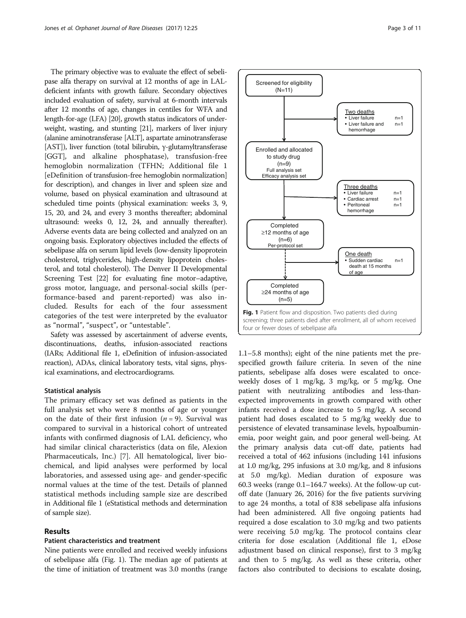The primary objective was to evaluate the effect of sebelipase alfa therapy on survival at 12 months of age in LALdeficient infants with growth failure. Secondary objectives included evaluation of safety, survival at 6-month intervals after 12 months of age, changes in centiles for WFA and length-for-age (LFA) [[20](#page-10-0)], growth status indicators of underweight, wasting, and stunting [[21\]](#page-10-0), markers of liver injury (alanine aminotransferase [ALT], aspartate aminotransferase [AST]), liver function (total bilirubin, γ-glutamyltransferase [GGT], and alkaline phosphatase), transfusion-free hemoglobin normalization (TFHN; Additional file [1](#page-9-0) [eDefinition of transfusion-free hemoglobin normalization] for description), and changes in liver and spleen size and volume, based on physical examination and ultrasound at scheduled time points (physical examination: weeks 3, 9, 15, 20, and 24, and every 3 months thereafter; abdominal ultrasound: weeks 0, 12, 24, and annually thereafter). Adverse events data are being collected and analyzed on an ongoing basis. Exploratory objectives included the effects of sebelipase alfa on serum lipid levels (low-density lipoprotein cholesterol, triglycerides, high-density lipoprotein cholesterol, and total cholesterol). The Denver II Developmental Screening Test [\[22\]](#page-10-0) for evaluating fine motor–adaptive, gross motor, language, and personal-social skills (performance-based and parent-reported) was also included. Results for each of the four assessment categories of the test were interpreted by the evaluator as "normal", "suspect", or "untestable".

Safety was assessed by ascertainment of adverse events, discontinuations, deaths, infusion-associated reactions (IARs; Additional file [1,](#page-9-0) eDefinition of infusion-associated reaction), ADAs, clinical laboratory tests, vital signs, physical examinations, and electrocardiograms.

#### Statistical analysis

The primary efficacy set was defined as patients in the full analysis set who were 8 months of age or younger on the date of their first infusion  $(n = 9)$ . Survival was compared to survival in a historical cohort of untreated infants with confirmed diagnosis of LAL deficiency, who had similar clinical characteristics (data on file, Alexion Pharmaceuticals, Inc.) [\[7](#page-10-0)]. All hematological, liver biochemical, and lipid analyses were performed by local laboratories, and assessed using age- and gender-specific normal values at the time of the test. Details of planned statistical methods including sample size are described in Additional file [1](#page-9-0) (eStatistical methods and determination of sample size).

# Results

#### Patient characteristics and treatment

Nine patients were enrolled and received weekly infusions of sebelipase alfa (Fig. 1). The median age of patients at the time of initiation of treatment was 3.0 months (range



1.1–5.8 months); eight of the nine patients met the prespecified growth failure criteria. In seven of the nine patients, sebelipase alfa doses were escalated to onceweekly doses of 1 mg/kg, 3 mg/kg, or 5 mg/kg. One patient with neutralizing antibodies and less-thanexpected improvements in growth compared with other infants received a dose increase to 5 mg/kg. A second patient had doses escalated to 5 mg/kg weekly due to persistence of elevated transaminase levels, hypoalbuminemia, poor weight gain, and poor general well-being. At the primary analysis data cut-off date, patients had received a total of 462 infusions (including 141 infusions at 1.0 mg/kg, 295 infusions at 3.0 mg/kg, and 8 infusions at 5.0 mg/kg). Median duration of exposure was 60.3 weeks (range 0.1–164.7 weeks). At the follow-up cutoff date (January 26, 2016) for the five patients surviving to age 24 months, a total of 838 sebelipase alfa infusions had been administered. All five ongoing patients had required a dose escalation to 3.0 mg/kg and two patients were receiving 5.0 mg/kg. The protocol contains clear criteria for dose escalation (Additional file [1](#page-9-0), eDose adjustment based on clinical response), first to 3 mg/kg and then to 5 mg/kg. As well as these criteria, other factors also contributed to decisions to escalate dosing,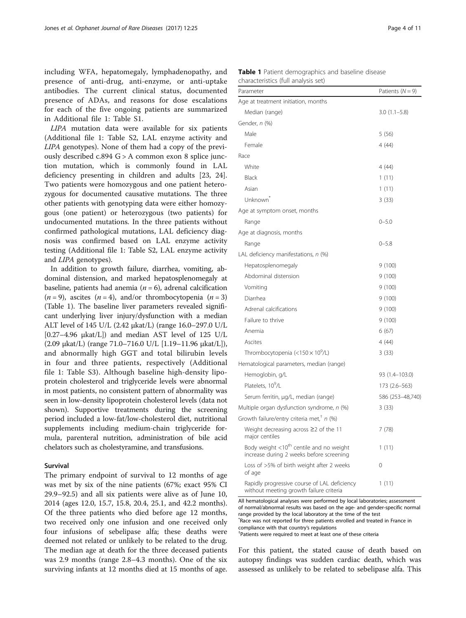including WFA, hepatomegaly, lymphadenopathy, and presence of anti-drug, anti-enzyme, or anti-uptake antibodies. The current clinical status, documented presence of ADAs, and reasons for dose escalations for each of the five ongoing patients are summarized in Additional file [1](#page-9-0): Table S1.

LIPA mutation data were available for six patients (Additional file [1](#page-9-0): Table S2, LAL enzyme activity and LIPA genotypes). None of them had a copy of the previously described c.894 G > A common exon 8 splice junction mutation, which is commonly found in LAL deficiency presenting in children and adults [[23, 24](#page-10-0)]. Two patients were homozygous and one patient heterozygous for documented causative mutations. The three other patients with genotyping data were either homozygous (one patient) or heterozygous (two patients) for undocumented mutations. In the three patients without confirmed pathological mutations, LAL deficiency diagnosis was confirmed based on LAL enzyme activity testing (Additional file [1](#page-9-0): Table S2, LAL enzyme activity and LIPA genotypes).

In addition to growth failure, diarrhea, vomiting, abdominal distension, and marked hepatosplenomegaly at baseline, patients had anemia ( $n = 6$ ), adrenal calcification  $(n = 9)$ , ascites  $(n = 4)$ , and/or thrombocytopenia  $(n = 3)$ (Table 1). The baseline liver parameters revealed significant underlying liver injury/dysfunction with a median ALT level of 145 U/L (2.42 μkat/L) (range 16.0–297.0 U/L [0.27–4.96  $\mu$ kat/L]) and median AST level of 125 U/L (2.09 μkat/L) (range 71.0–716.0 U/L [1.19–11.96 μkat/L]), and abnormally high GGT and total bilirubin levels in four and three patients, respectively (Additional file [1:](#page-9-0) Table S3). Although baseline high-density lipoprotein cholesterol and triglyceride levels were abnormal in most patients, no consistent pattern of abnormality was seen in low-density lipoprotein cholesterol levels (data not shown). Supportive treatments during the screening period included a low-fat/low-cholesterol diet, nutritional supplements including medium-chain triglyceride formula, parenteral nutrition, administration of bile acid chelators such as cholestyramine, and transfusions.

## Survival

The primary endpoint of survival to 12 months of age was met by six of the nine patients (67%; exact 95% CI 29.9–92.5) and all six patients were alive as of June 10, 2014 (ages 12.0, 15.7, 15.8, 20.4, 25.1, and 42.2 months). Of the three patients who died before age 12 months, two received only one infusion and one received only four infusions of sebelipase alfa; these deaths were deemed not related or unlikely to be related to the drug. The median age at death for the three deceased patients was 2.9 months (range 2.8–4.3 months). One of the six surviving infants at 12 months died at 15 months of age.

| constitution and you set,                                                                       |                    |
|-------------------------------------------------------------------------------------------------|--------------------|
| Parameter                                                                                       | Patients $(N = 9)$ |
| Age at treatment initiation, months                                                             |                    |
| Median (range)                                                                                  | $3.0(1.1 - 5.8)$   |
| Gender, n (%)                                                                                   |                    |
| Male                                                                                            | 5(56)              |
| Female                                                                                          | 4 (44)             |
| Race                                                                                            |                    |
| White                                                                                           | 4 (44)             |
| Black                                                                                           | 1(11)              |
| Asian                                                                                           | 1(11)              |
| Unknown <sup>®</sup>                                                                            | 3(33)              |
| Age at symptom onset, months                                                                    |                    |
| Range                                                                                           | $0 - 5.0$          |
| Age at diagnosis, months                                                                        |                    |
| Range                                                                                           | $0 - 5.8$          |
| LAL deficiency manifestations, n (%)                                                            |                    |
| Hepatosplenomegaly                                                                              | 9(100)             |
| Abdominal distension                                                                            | 9(100)             |
| Vomiting                                                                                        | 9(100)             |
| Diarrhea                                                                                        | 9(100)             |
| Adrenal calcifications                                                                          | 9(100)             |
| Failure to thrive                                                                               | 9(100)             |
| Anemia                                                                                          | 6(67)              |
| Ascites                                                                                         | 4 (44)             |
| Thrombocytopenia (< $150 \times 10^9$ /L)                                                       | 3(33)              |
| Hematological parameters, median (range)                                                        |                    |
| Hemoglobin, g/L                                                                                 | 93 (1.4–103.0)     |
| Platelets, 10 <sup>9</sup> /L                                                                   | 173 (2.6–563)      |
| Serum ferritin, µg/L, median (range)                                                            | 586 (253-48,740)   |
| Multiple organ dysfunction syndrome, n (%)                                                      | 3(33)              |
| Growth failure/entry criteria met, <sup>†</sup> n (%)                                           |                    |
| Weight decreasing across ≥2 of the 11<br>major centiles                                         | 7 (78)             |
| Body weight <10 <sup>th</sup> centile and no weight<br>increase during 2 weeks before screening | 1(11)              |
| Loss of >5% of birth weight after 2 weeks<br>of age                                             | 0                  |
| Rapidly progressive course of LAL deficiency<br>without meeting growth failure criteria         | 1(11)              |

All hematological analyses were performed by local laboratories; assessment of normal/abnormal results was based on the age- and gender-specific normal range provided by the local laboratory at the time of the test \* Race was not reported for three patients enrolled and treated in France in compliance with that country's regulations †

Patients were required to meet at least one of these criteria

For this patient, the stated cause of death based on autopsy findings was sudden cardiac death, which was assessed as unlikely to be related to sebelipase alfa. This

| <b>Table 1</b> Patient demographics and baseline disease |  |  |
|----------------------------------------------------------|--|--|
| characteristics (full analysis set)                      |  |  |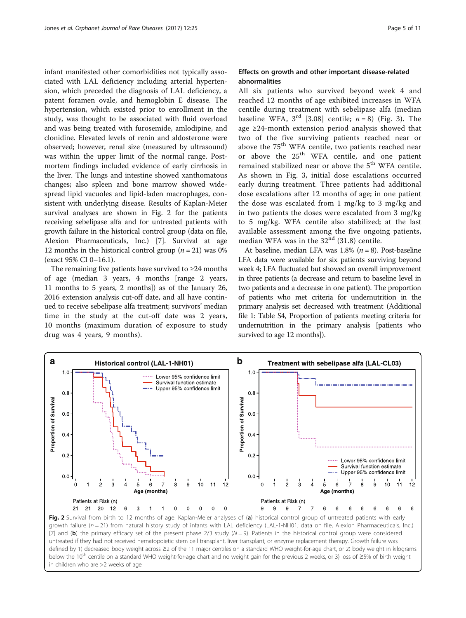infant manifested other comorbidities not typically associated with LAL deficiency including arterial hypertension, which preceded the diagnosis of LAL deficiency, a patent foramen ovale, and hemoglobin E disease. The hypertension, which existed prior to enrollment in the study, was thought to be associated with fluid overload and was being treated with furosemide, amlodipine, and clonidine. Elevated levels of renin and aldosterone were observed; however, renal size (measured by ultrasound) was within the upper limit of the normal range. Postmortem findings included evidence of early cirrhosis in the liver. The lungs and intestine showed xanthomatous changes; also spleen and bone marrow showed widespread lipid vacuoles and lipid-laden macrophages, consistent with underlying disease. Results of Kaplan-Meier survival analyses are shown in Fig. 2 for the patients receiving sebelipase alfa and for untreated patients with growth failure in the historical control group (data on file, Alexion Pharmaceuticals, Inc.) [\[7\]](#page-10-0). Survival at age 12 months in the historical control group ( $n = 21$ ) was 0% (exact 95% CI 0–16.1).

The remaining five patients have survived to  $\geq$ 24 months of age (median 3 years, 4 months [range 2 years, 11 months to 5 years, 2 months]) as of the January 26, 2016 extension analysis cut-off date, and all have continued to receive sebelipase alfa treatment; survivors' median time in the study at the cut-off date was 2 years, 10 months (maximum duration of exposure to study drug was 4 years, 9 months).

# Effects on growth and other important disease-related abnormalities

All six patients who survived beyond week 4 and reached 12 months of age exhibited increases in WFA centile during treatment with sebelipase alfa (median baseline WFA,  $3<sup>rd</sup>$  [3.08] centile;  $n = 8$ ) (Fig. [3\)](#page-5-0). The age ≥24-month extension period analysis showed that two of the five surviving patients reached near or above the 75<sup>th</sup> WFA centile, two patients reached near or above the 25<sup>th</sup> WFA centile, and one patient remained stabilized near or above the 5<sup>th</sup> WFA centile. As shown in Fig. [3,](#page-5-0) initial dose escalations occurred early during treatment. Three patients had additional dose escalations after 12 months of age; in one patient the dose was escalated from 1 mg/kg to 3 mg/kg and in two patients the doses were escalated from 3 mg/kg to 5 mg/kg. WFA centile also stabilized; at the last available assessment among the five ongoing patients, median WFA was in the  $32<sup>nd</sup>$  (31.8) centile.

At baseline, median LFA was  $1.8\%$  ( $n = 8$ ). Post-baseline LFA data were available for six patients surviving beyond week 4; LFA fluctuated but showed an overall improvement in three patients (a decrease and return to baseline level in two patients and a decrease in one patient). The proportion of patients who met criteria for undernutrition in the primary analysis set decreased with treatment (Additional file [1:](#page-9-0) Table S4, Proportion of patients meeting criteria for undernutrition in the primary analysis [patients who survived to age 12 months]).



defined by 1) decreased body weight across ≥2 of the 11 major centiles on a standard WHO weight-for-age chart, or 2) body weight in kilograms below the 10<sup>th</sup> centile on a standard WHO weight-for-age chart and no weight gain for the previous 2 weeks, or 3) loss of ≥5% of birth weight in children who are >2 weeks of age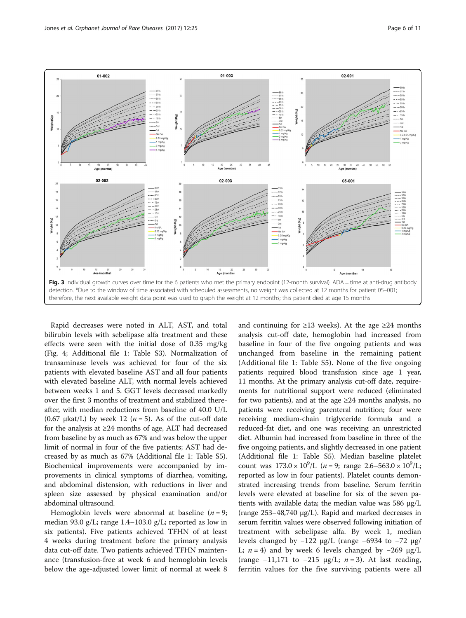<span id="page-5-0"></span>

Rapid decreases were noted in ALT, AST, and total bilirubin levels with sebelipase alfa treatment and these effects were seen with the initial dose of 0.35 mg/kg (Fig. [4;](#page-6-0) Additional file [1:](#page-9-0) Table S3). Normalization of transaminase levels was achieved for four of the six patients with elevated baseline AST and all four patients with elevated baseline ALT, with normal levels achieved between weeks 1 and 5. GGT levels decreased markedly over the first 3 months of treatment and stabilized thereafter, with median reductions from baseline of 40.0 U/L (0.67  $\mu$ kat/L) by week 12 (*n* = 5). As of the cut-off date for the analysis at  $\geq 24$  months of age, ALT had decreased from baseline by as much as 67% and was below the upper limit of normal in four of the five patients; AST had decreased by as much as 67% (Additional file [1](#page-9-0): Table S5). Biochemical improvements were accompanied by improvements in clinical symptoms of diarrhea, vomiting, and abdominal distension, with reductions in liver and spleen size assessed by physical examination and/or abdominal ultrasound.

Hemoglobin levels were abnormal at baseline  $(n = 9;$ median 93.0 g/L; range 1.4–103.0 g/L; reported as low in six patients). Five patients achieved TFHN of at least 4 weeks during treatment before the primary analysis data cut-off date. Two patients achieved TFHN maintenance (transfusion-free at week 6 and hemoglobin levels below the age-adjusted lower limit of normal at week 8

and continuing for  $\geq 13$  weeks). At the age  $\geq 24$  months analysis cut-off date, hemoglobin had increased from baseline in four of the five ongoing patients and was unchanged from baseline in the remaining patient (Additional file [1:](#page-9-0) Table S5). None of the five ongoing patients required blood transfusion since age 1 year, 11 months. At the primary analysis cut-off date, requirements for nutritional support were reduced (eliminated for two patients), and at the age ≥24 months analysis, no patients were receiving parenteral nutrition; four were receiving medium-chain triglyceride formula and a reduced-fat diet, and one was receiving an unrestricted diet. Albumin had increased from baseline in three of the five ongoing patients, and slightly decreased in one patient (Additional file [1:](#page-9-0) Table S5). Median baseline platelet count was  $173.0 \times 10^9$ /L (*n* = 9; range  $2.6 - 563.0 \times 10^9$ /L; reported as low in four patients). Platelet counts demonstrated increasing trends from baseline. Serum ferritin levels were elevated at baseline for six of the seven patients with available data; the median value was 586 μg/L (range 253–48,740 μg/L). Rapid and marked decreases in serum ferritin values were observed following initiation of treatment with sebelipase alfa. By week 1, median levels changed by −122 μg/L (range −6934 to −72 μg/ L;  $n = 4$ ) and by week 6 levels changed by -269  $\mu$ g/L (range  $-11,171$  to  $-215 \mu g/L$ ;  $n = 3$ ). At last reading, ferritin values for the five surviving patients were all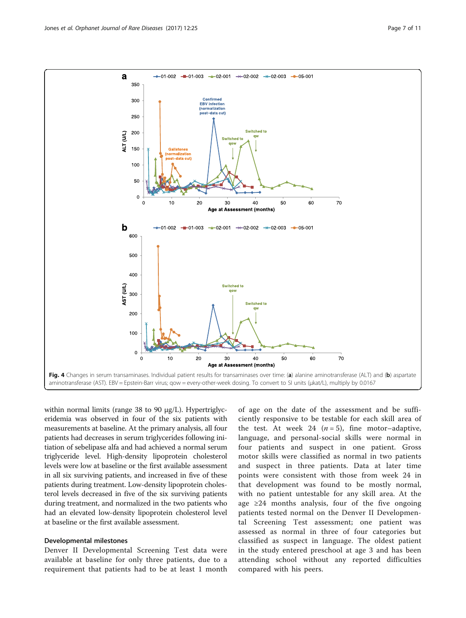<span id="page-6-0"></span>

within normal limits (range 38 to 90 μg/L). Hypertriglyceridemia was observed in four of the six patients with measurements at baseline. At the primary analysis, all four patients had decreases in serum triglycerides following initiation of sebelipase alfa and had achieved a normal serum triglyceride level. High-density lipoprotein cholesterol levels were low at baseline or the first available assessment in all six surviving patients, and increased in five of these patients during treatment. Low-density lipoprotein cholesterol levels decreased in five of the six surviving patients during treatment, and normalized in the two patients who had an elevated low-density lipoprotein cholesterol level at baseline or the first available assessment.

#### Developmental milestones

Denver II Developmental Screening Test data were available at baseline for only three patients, due to a requirement that patients had to be at least 1 month

of age on the date of the assessment and be sufficiently responsive to be testable for each skill area of the test. At week 24  $(n=5)$ , fine motor-adaptive, language, and personal-social skills were normal in four patients and suspect in one patient. Gross motor skills were classified as normal in two patients and suspect in three patients. Data at later time points were consistent with those from week 24 in that development was found to be mostly normal, with no patient untestable for any skill area. At the age  $\geq 24$  months analysis, four of the five ongoing patients tested normal on the Denver II Developmental Screening Test assessment; one patient was assessed as normal in three of four categories but classified as suspect in language. The oldest patient in the study entered preschool at age 3 and has been attending school without any reported difficulties compared with his peers.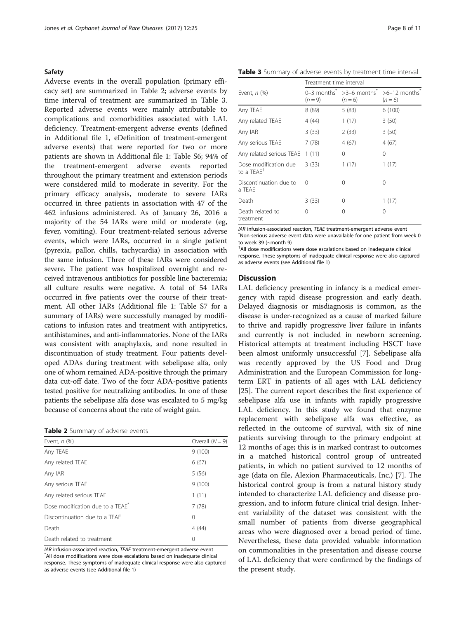# Safety

Adverse events in the overall population (primary efficacy set) are summarized in Table 2; adverse events by time interval of treatment are summarized in Table 3. Reported adverse events were mainly attributable to complications and comorbidities associated with LAL deficiency. Treatment-emergent adverse events (defined in Additional file [1](#page-9-0), eDefinition of treatment-emergent adverse events) that were reported for two or more patients are shown in Additional file [1](#page-9-0): Table S6; 94% of the treatment-emergent adverse events reported throughout the primary treatment and extension periods were considered mild to moderate in severity. For the primary efficacy analysis, moderate to severe IARs occurred in three patients in association with 47 of the 462 infusions administered. As of January 26, 2016 a majority of the 54 IARs were mild or moderate (eg, fever, vomiting). Four treatment-related serious adverse events, which were IARs, occurred in a single patient (pyrexia, pallor, chills, tachycardia) in association with the same infusion. Three of these IARs were considered severe. The patient was hospitalized overnight and received intravenous antibiotics for possible line bacteremia; all culture results were negative. A total of 54 IARs occurred in five patients over the course of their treatment. All other IARs (Additional file [1:](#page-9-0) Table S7 for a summary of IARs) were successfully managed by modifications to infusion rates and treatment with antipyretics, antihistamines, and anti-inflammatories. None of the IARs was consistent with anaphylaxis, and none resulted in discontinuation of study treatment. Four patients developed ADAs during treatment with sebelipase alfa, only one of whom remained ADA-positive through the primary data cut-off date. Two of the four ADA-positive patients tested positive for neutralizing antibodies. In one of these patients the sebelipase alfa dose was escalated to 5 mg/kg because of concerns about the rate of weight gain.

| Table 2 Summary of adverse events |  |  |  |
|-----------------------------------|--|--|--|
|-----------------------------------|--|--|--|

| Event, $n$ $(\%)$                            | Overall $(N = 9)$ |
|----------------------------------------------|-------------------|
| Any TEAE                                     | 9(100)            |
| Any related TEAE                             | 6(67)             |
| Any IAR                                      | 5(56)             |
| Any serious TEAE                             | 9(100)            |
| Any related serious TEAE                     | 1(11)             |
| Dose modification due to a TFAF <sup>*</sup> | 7(78)             |
| Discontinuation due to a TFAF                | 0                 |
| Death                                        | 4(44)             |
| Death related to treatment                   | 0                 |

IAR infusion-associated reaction, TEAE treatment-emergent adverse event All dose modifications were dose escalations based on inadequate clinical response. These symptoms of inadequate clinical response were also captured as adverse events (see Additional file [1\)](#page-9-0)

Table 3 Summary of adverse events by treatment time interval

|                                                 | Treatment time interval             |                          |                           |  |
|-------------------------------------------------|-------------------------------------|--------------------------|---------------------------|--|
| Event, $n$ (%)                                  | $0 - 3$ months $\hat{ }$<br>$(n=9)$ | $>3-6$ months<br>$(n=6)$ | $>6-12$ months<br>$(n=6)$ |  |
| Any TEAE                                        | 8(89)                               | 5(83)                    | 6(100)                    |  |
| Any related TEAE                                | 4 (44)                              | 1(17)                    | 3(50)                     |  |
| Any IAR                                         | 3(33)                               | 2(33)                    | 3(50)                     |  |
| Any serious TEAE                                | 7(78)                               | 4(67)                    | 4(67)                     |  |
| Any related serious TEAE                        | 1(11)                               | $\Omega$                 | 0                         |  |
| Dose modification due<br>to a TFAF <sup>†</sup> | 3(33)                               | 1(17)                    | 1(17)                     |  |
| Discontinuation due to<br>a TFAF                | 0                                   | 0                        | 0                         |  |
| Death                                           | 3(33)                               | 0                        | 1(17)                     |  |
| Death related to<br>treatment                   | 0                                   | 0                        | 0                         |  |

IAR infusion-associated reaction, TEAE treatment-emergent adverse event \* Non-serious adverse event data were unavailable for one patient from week 0 to week 39 (~month 9)

† All dose modifications were dose escalations based on inadequate clinical response. These symptoms of inadequate clinical response were also captured as adverse events (see Additional file [1\)](#page-9-0)

#### **Discussion**

LAL deficiency presenting in infancy is a medical emergency with rapid disease progression and early death. Delayed diagnosis or misdiagnosis is common, as the disease is under-recognized as a cause of marked failure to thrive and rapidly progressive liver failure in infants and currently is not included in newborn screening. Historical attempts at treatment including HSCT have been almost uniformly unsuccessful [\[7](#page-10-0)]. Sebelipase alfa was recently approved by the US Food and Drug Administration and the European Commission for longterm ERT in patients of all ages with LAL deficiency [[25\]](#page-10-0). The current report describes the first experience of sebelipase alfa use in infants with rapidly progressive LAL deficiency. In this study we found that enzyme replacement with sebelipase alfa was effective, as reflected in the outcome of survival, with six of nine patients surviving through to the primary endpoint at 12 months of age; this is in marked contrast to outcomes in a matched historical control group of untreated patients, in which no patient survived to 12 months of age (data on file, Alexion Pharmaceuticals, Inc.) [[7\]](#page-10-0). The historical control group is from a natural history study intended to characterize LAL deficiency and disease progression, and to inform future clinical trial design. Inherent variability of the dataset was consistent with the small number of patients from diverse geographical areas who were diagnosed over a broad period of time. Nevertheless, these data provided valuable information on commonalities in the presentation and disease course of LAL deficiency that were confirmed by the findings of the present study.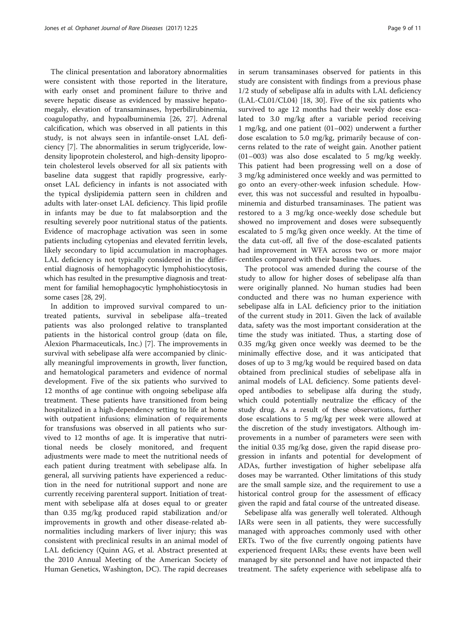The clinical presentation and laboratory abnormalities were consistent with those reported in the literature, with early onset and prominent failure to thrive and severe hepatic disease as evidenced by massive hepatomegaly, elevation of transaminases, hyperbilirubinemia, coagulopathy, and hypoalbuminemia [\[26, 27](#page-10-0)]. Adrenal calcification, which was observed in all patients in this study, is not always seen in infantile-onset LAL deficiency [[7\]](#page-10-0). The abnormalities in serum triglyceride, lowdensity lipoprotein cholesterol, and high-density lipoprotein cholesterol levels observed for all six patients with baseline data suggest that rapidly progressive, earlyonset LAL deficiency in infants is not associated with the typical dyslipidemia pattern seen in children and adults with later-onset LAL deficiency. This lipid profile in infants may be due to fat malabsorption and the resulting severely poor nutritional status of the patients. Evidence of macrophage activation was seen in some patients including cytopenias and elevated ferritin levels, likely secondary to lipid accumulation in macrophages. LAL deficiency is not typically considered in the differential diagnosis of hemophagocytic lymphohistiocytosis, which has resulted in the presumptive diagnosis and treatment for familial hemophagocytic lymphohistiocytosis in some cases [[28](#page-10-0), [29\]](#page-10-0).

In addition to improved survival compared to untreated patients, survival in sebelipase alfa–treated patients was also prolonged relative to transplanted patients in the historical control group (data on file, Alexion Pharmaceuticals, Inc.) [\[7](#page-10-0)]. The improvements in survival with sebelipase alfa were accompanied by clinically meaningful improvements in growth, liver function, and hematological parameters and evidence of normal development. Five of the six patients who survived to 12 months of age continue with ongoing sebelipase alfa treatment. These patients have transitioned from being hospitalized in a high-dependency setting to life at home with outpatient infusions; elimination of requirements for transfusions was observed in all patients who survived to 12 months of age. It is imperative that nutritional needs be closely monitored, and frequent adjustments were made to meet the nutritional needs of each patient during treatment with sebelipase alfa. In general, all surviving patients have experienced a reduction in the need for nutritional support and none are currently receiving parenteral support. Initiation of treatment with sebelipase alfa at doses equal to or greater than 0.35 mg/kg produced rapid stabilization and/or improvements in growth and other disease-related abnormalities including markers of liver injury; this was consistent with preclinical results in an animal model of LAL deficiency (Quinn AG, et al. Abstract presented at the 2010 Annual Meeting of the American Society of Human Genetics, Washington, DC). The rapid decreases in serum transaminases observed for patients in this study are consistent with findings from a previous phase 1/2 study of sebelipase alfa in adults with LAL deficiency (LAL-CL01/CL04) [\[18](#page-10-0), [30\]](#page-10-0). Five of the six patients who survived to age 12 months had their weekly dose escalated to 3.0 mg/kg after a variable period receiving 1 mg/kg, and one patient (01–002) underwent a further dose escalation to 5.0 mg/kg, primarily because of concerns related to the rate of weight gain. Another patient (01–003) was also dose escalated to 5 mg/kg weekly. This patient had been progressing well on a dose of 3 mg/kg administered once weekly and was permitted to go onto an every-other-week infusion schedule. However, this was not successful and resulted in hypoalbuminemia and disturbed transaminases. The patient was restored to a 3 mg/kg once-weekly dose schedule but showed no improvement and doses were subsequently escalated to 5 mg/kg given once weekly. At the time of the data cut-off, all five of the dose-escalated patients had improvement in WFA across two or more major centiles compared with their baseline values.

The protocol was amended during the course of the study to allow for higher doses of sebelipase alfa than were originally planned. No human studies had been conducted and there was no human experience with sebelipase alfa in LAL deficiency prior to the initiation of the current study in 2011. Given the lack of available data, safety was the most important consideration at the time the study was initiated. Thus, a starting dose of 0.35 mg/kg given once weekly was deemed to be the minimally effective dose, and it was anticipated that doses of up to 3 mg/kg would be required based on data obtained from preclinical studies of sebelipase alfa in animal models of LAL deficiency. Some patients developed antibodies to sebelipase alfa during the study, which could potentially neutralize the efficacy of the study drug. As a result of these observations, further dose escalations to 5 mg/kg per week were allowed at the discretion of the study investigators. Although improvements in a number of parameters were seen with the initial 0.35 mg/kg dose, given the rapid disease progression in infants and potential for development of ADAs, further investigation of higher sebelipase alfa doses may be warranted. Other limitations of this study are the small sample size, and the requirement to use a historical control group for the assessment of efficacy given the rapid and fatal course of the untreated disease.

Sebelipase alfa was generally well tolerated. Although IARs were seen in all patients, they were successfully managed with approaches commonly used with other ERTs. Two of the five currently ongoing patients have experienced frequent IARs; these events have been well managed by site personnel and have not impacted their treatment. The safety experience with sebelipase alfa to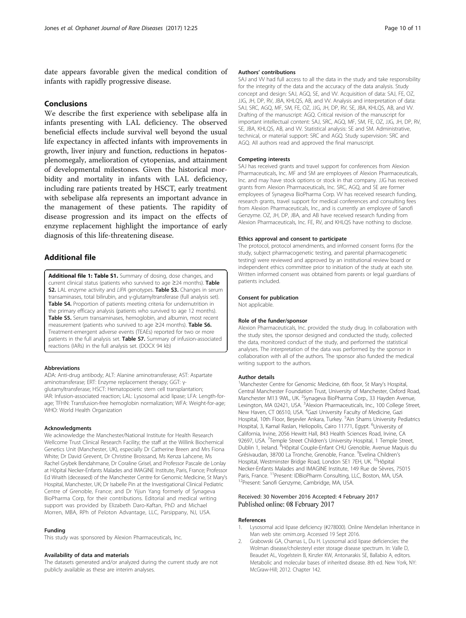<span id="page-9-0"></span>date appears favorable given the medical condition of infants with rapidly progressive disease.

# Conclusions

We describe the first experience with sebelipase alfa in infants presenting with LAL deficiency. The observed beneficial effects include survival well beyond the usual life expectancy in affected infants with improvements in growth, liver injury and function, reductions in hepatosplenomegaly, amelioration of cytopenias, and attainment of developmental milestones. Given the historical morbidity and mortality in infants with LAL deficiency, including rare patients treated by HSCT, early treatment with sebelipase alfa represents an important advance in the management of these patients. The rapidity of disease progression and its impact on the effects of enzyme replacement highlight the importance of early diagnosis of this life-threatening disease.

# Additional file

[Additional file 1: Table S1.](dx.doi.org/10.1186/s13023-017-0587-3) Summary of dosing, dose changes, and current clinical status (patients who survived to age ≥24 months). Table S2. LAL enzyme activity and LIPA genotypes. Table S3. Changes in serum transaminases, total bilirubin, and γ-glutamyltransferase (full analysis set). Table S4. Proportion of patients meeting criteria for undernutrition in the primary efficacy analysis (patients who survived to age 12 months). Table S5. Serum transaminases, hemoglobin, and albumin, most recent measurement (patients who survived to age ≥24 months). Table S6. Treatment-emergent adverse events (TEAEs) reported for two or more patients in the full analysis set. Table S7. Summary of infusion-associated reactions (IARs) in the full analysis set. (DOCX 94 kb)

#### Abbreviations

ADA: Anti-drug antibody; ALT: Alanine aminotransferase; AST: Aspartate aminotransferase; ERT: Enzyme replacement therapy; GGT: γglutamyltransferase; HSCT: Hematopoietic stem cell transplantation; IAR: Infusion-associated reaction; LAL: Lysosomal acid lipase; LFA: Length-forage; TFHN: Transfusion-free hemoglobin normalization; WFA: Weight-for-age; WHO: World Health Organization

#### Acknowledgments

We acknowledge the Manchester/National Institute for Health Research Wellcome Trust Clinical Research Facility; the staff at the Willink Biochemical Genetics Unit (Manchester, UK), especially Dr Catherine Breen and Mrs Fiona White; Dr David Grevent, Dr Christine Broissand, Ms Kenza Lahcene, Ms Rachel Grybek Bendahmane, Dr Coraline Grisel, and Professor Pascale de Lonlay at Hôpital Necker-Enfants Malades and IMAGINE Institute, Paris, France; Professor Ed Wraith (deceased) of the Manchester Centre for Genomic Medicine, St Mary's Hospital, Manchester, UK; Dr Isabelle Pin at the Investigational Clinical Pediatric Centre of Grenoble, France; and Dr Yijun Yang formerly of Synageva BioPharma Corp, for their contributions. Editorial and medical writing support was provided by Elizabeth Daro-Kaftan, PhD and Michael Morren, MBA, RPh of Peloton Advantage, LLC, Parsippany, NJ, USA.

#### Funding

This study was sponsored by Alexion Pharmaceuticals, Inc.

#### Availability of data and materials

The datasets generated and/or analyzed during the current study are not publicly available as these are interim analyses.

#### Authors' contributions

SAJ and W had full access to all the data in the study and take responsibility for the integrity of the data and the accuracy of the data analysis. Study concept and design: SAJ, AGQ, SE, and VV. Acquisition of data: SAJ, FE, OZ, JJG, JH, DP, RV, JBA, KHLQS, AB, and VV. Analysis and interpretation of data: SAJ, SRC, AGQ, MF, SM, FE, OZ, JJG, JH, DP, RV, SE, JBA, KHLQS, AB, and VV. Drafting of the manuscript: AGQ. Critical revision of the manuscript for important intellectual content: SAJ, SRC, AGQ, MF, SM, FE, OZ, JJG, JH, DP, RV, SE, JBA, KHLQS, AB, and VV. Statistical analysis: SE and SM. Administrative, technical, or material support: SRC and AGQ. Study supervision: SRC and AGQ. All authors read and approved the final manuscript.

#### Competing interests

SAJ has received grants and travel support for conferences from Alexion Pharmaceuticals, Inc. MF and SM are employees of Alexion Pharmaceuticals, Inc. and may have stock options or stock in that company. JJG has received grants from Alexion Pharmaceuticals, Inc. SRC, AGQ, and SE are former employees of Synageva BioPharma Corp. W has received research funding, research grants, travel support for medical conferences and consulting fees from Alexion Pharmaceuticals, Inc., and is currently an employee of Sanofi Genzyme. OZ, JH, DP, JBA, and AB have received research funding from Alexion Pharmaceuticals, Inc. FE, RV, and KHLQS have nothing to disclose.

#### Ethics approval and consent to participate

The protocol, protocol amendments, and informed consent forms (for the study, subject pharmacogenetic testing, and parental pharmacogenetic testing) were reviewed and approved by an institutional review board or independent ethics committee prior to initiation of the study at each site. Written informed consent was obtained from parents or legal guardians of patients included.

# Consent for publication

Not applicable.

#### Role of the funder/sponsor

Alexion Pharmaceuticals, Inc. provided the study drug. In collaboration with the study sites, the sponsor designed and conducted the study, collected the data, monitored conduct of the study, and performed the statistical analyses. The interpretation of the data was performed by the sponsor in collaboration with all of the authors. The sponsor also funded the medical writing support to the authors.

#### Author details

<sup>1</sup> Manchester Centre for Genomic Medicine, 6th floor, St Mary's Hospital Central Manchester Foundation Trust, University of Manchester, Oxford Road, Manchester M13 9WL, UK. <sup>2</sup>Synageva BioPharma Corp., 33 Hayden Avenue, Lexington, MA 02421, USA. <sup>3</sup>Alexion Pharmaceuticals, Inc., 100 College Street, New Haven, CT 06510, USA. <sup>4</sup>Gazi University Faculty of Medicine, Gazi Hospital, 10th Floor, Beşevler Ankara, Turkey. <sup>5</sup>Ain Shams University Pediatrics Hospital, 3, Kamal Raslan, Heliopolis, Cairo 11771, Egypt. <sup>6</sup>University of California, Irvine, 2056 Hewitt Hall, 843 Health Sciences Road, Irvine, CA 92697, USA. <sup>7</sup>Temple Street Children's University Hospital, 1 Temple Street, Dublin 1, Ireland. <sup>8</sup> Hôpital Couple-Enfant CHU Grenoble, Avenue Maquis du Grésivaudan, 38700 La Tronche, Grenoble, France. <sup>9</sup>Evelina Children's Hospital, Westminster Bridge Road, London SE1 7EH, UK. <sup>10</sup>Hôpital Necker-Enfants Malades and IMAGINE Institute, 149 Rue de Sèvres, 75015 Paris, France. <sup>11</sup>Present: IDBioPharm Consulting, LLC, Boston, MA, USA.<br><sup>12</sup>Present: Sanofi Genzyme, Cambridge, MA, USA.

#### Received: 30 November 2016 Accepted: 4 February 2017 Published online: 08 February 2017

#### References

- 1. Lysosomal acid lipase deficiency (#278000). Online Mendelian Inheritance in Man web site: omim.org. Accessed 19 Sept 2016.
- 2. Grabowski GA, Charnas L, Du H. Lysosomal acid lipase deficiencies: the Wolman disease/cholesteryl ester storage disease spectrum. In: Valle D, Beaudet AL, Vogelstein B, Kinzler KW, Antonarakis SE, Ballabio A, editors. Metabolic and molecular bases of inherited disease. 8th ed. New York, NY: McGraw-Hill; 2012. Chapter 142.